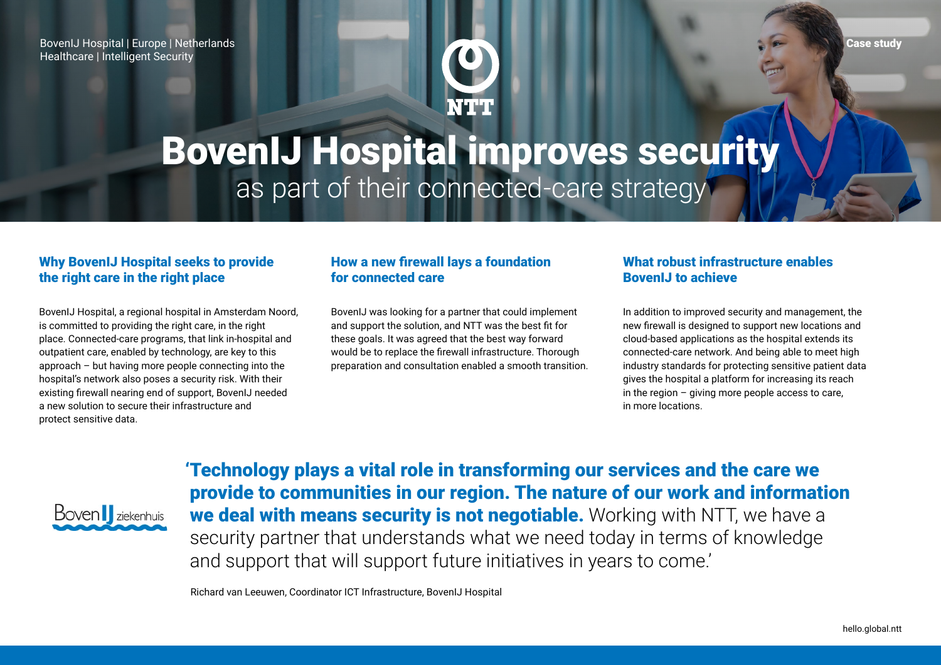BovenIJ Hospital | Europe | Netherlands Healthcare | Intelligent Security



# BovenIJ Hospital improves security as part of their connected-care strategy

#### Why BovenIJ Hospital seeks to provide the right care in the right place

BovenIJ Hospital, a regional hospital in Amsterdam Noord, is committed to providing the right care, in the right place. Connected-care programs, that link in-hospital and outpatient care, enabled by technology, are key to this approach – but having more people connecting into the hospital's network also poses a security risk. With their existing firewall nearing end of support, BovenIJ needed a new solution to secure their infrastructure and protect sensitive data.

### How a new firewall lays a foundation for connected care

BovenIJ was looking for a partner that could implement and support the solution, and NTT was the best fit for these goals. It was agreed that the best way forward would be to replace the firewall infrastructure. Thorough preparation and consultation enabled a smooth transition.

### What robust infrastructure enables BovenIJ to achieve

In addition to improved security and management, the new firewall is designed to support new locations and cloud-based applications as the hospital extends its connected-care network. And being able to meet high industry standards for protecting sensitive patient data gives the hospital a platform for increasing its reach in the region  $-$  giving more people access to care, in more locations.



'Technology plays a vital role in transforming our services and the care we provide to communities in our region. The nature of our work and information we deal with means security is not negotiable. Working with NTT, we have a security partner that understands what we need today in terms of knowledge and support that will support future initiatives in years to come.'

Richard van Leeuwen, Coordinator ICT Infrastructure, BovenIJ Hospital

Case study